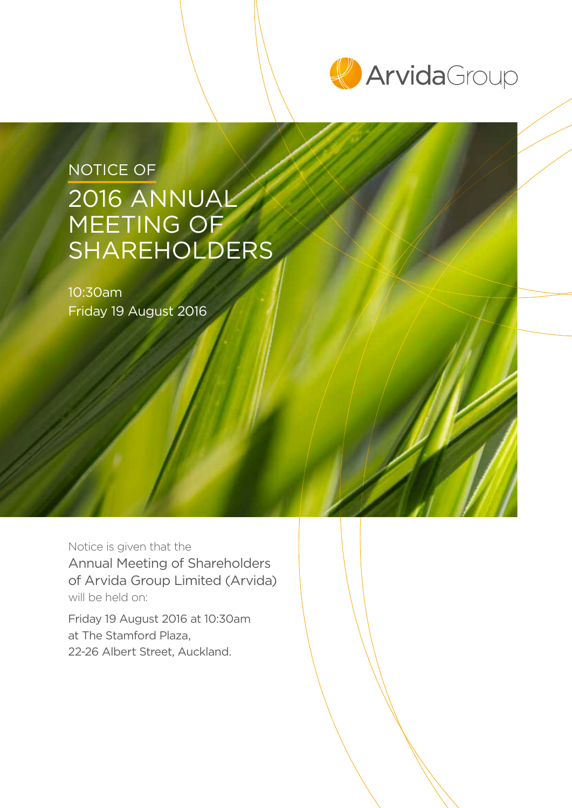

# NOTICE OF 2016 ANNUAL MEETING OF SHAREHOLDERS

10:30am Friday 19 August 2016

Notice is given that the Annual Meeting of Shareholders of Arvida Group Limited (Arvida) will be held on:

Friday 19 August 2016 at 10:30am at The Stamford Plaza, 22-26 Albert Street, Auckland.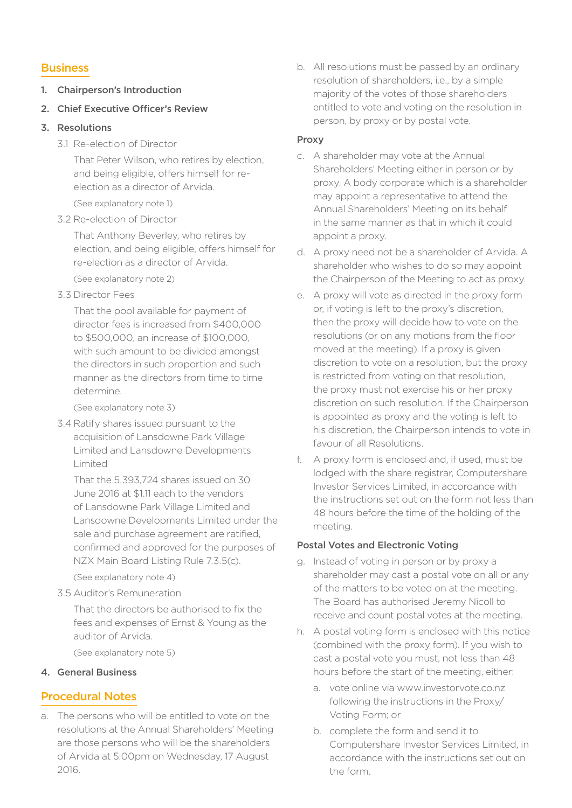# **Business**

- 1. Chairperson's Introduction
- 2. Chief Executive Officer's Review
- 3. Resolutions
	- 3.1 Re-election of Director

That Peter Wilson, who retires by election, and being eligible, offers himself for reelection as a director of Arvida.

(See explanatory note 1)

3.2 Re-election of Director

That Anthony Beverley, who retires by election, and being eligible, offers himself for re-election as a director of Arvida.

(See explanatory note 2)

3.3 Director Fees

That the pool available for payment of director fees is increased from \$400,000 to \$500,000, an increase of \$100,000, with such amount to be divided amongst the directors in such proportion and such manner as the directors from time to time determine.

(See explanatory note 3)

3.4 Ratify shares issued pursuant to the acquisition of Lansdowne Park Village Limited and Lansdowne Developments Limited

That the 5,393,724 shares issued on 30 June 2016 at \$1.11 each to the vendors of Lansdowne Park Village Limited and Lansdowne Developments Limited under the sale and purchase agreement are ratified, confirmed and approved for the purposes of NZX Main Board Listing Rule 7.3.5(c).

(See explanatory note 4)

3.5 Auditor's Remuneration

That the directors be authorised to fix the fees and expenses of Ernst & Young as the auditor of Arvida.

(See explanatory note 5)

# 4. General Business

# Procedural Notes

a. The persons who will be entitled to vote on the resolutions at the Annual Shareholders' Meeting are those persons who will be the shareholders of Arvida at 5:00pm on Wednesday, 17 August 2016.

b. All resolutions must be passed by an ordinary resolution of shareholders, i.e., by a simple majority of the votes of those shareholders entitled to vote and voting on the resolution in person, by proxy or by postal vote.

# Proxy

- c. A shareholder may vote at the Annual Shareholders' Meeting either in person or by proxy. A body corporate which is a shareholder may appoint a representative to attend the Annual Shareholders' Meeting on its behalf in the same manner as that in which it could appoint a proxy.
- d. A proxy need not be a shareholder of Arvida. A shareholder who wishes to do so may appoint the Chairperson of the Meeting to act as proxy.
- e. A proxy will vote as directed in the proxy form or, if voting is left to the proxy's discretion, then the proxy will decide how to vote on the resolutions (or on any motions from the floor moved at the meeting). If a proxy is given discretion to vote on a resolution, but the proxy is restricted from voting on that resolution, the proxy must not exercise his or her proxy discretion on such resolution. If the Chairperson is appointed as proxy and the voting is left to his discretion, the Chairperson intends to vote in favour of all Resolutions.
- f. A proxy form is enclosed and, if used, must be lodged with the share registrar, Computershare Investor Services Limited, in accordance with the instructions set out on the form not less than 48 hours before the time of the holding of the meeting.

# Postal Votes and Electronic Voting

- g. Instead of voting in person or by proxy a shareholder may cast a postal vote on all or any of the matters to be voted on at the meeting. The Board has authorised Jeremy Nicoll to receive and count postal votes at the meeting.
- h. A postal voting form is enclosed with this notice (combined with the proxy form). If you wish to cast a postal vote you must, not less than 48 hours before the start of the meeting, either:
	- a. vote online via www.investorvote.co.nz following the instructions in the Proxy/ Voting Form; or
	- b. complete the form and send it to Computershare Investor Services Limited, in accordance with the instructions set out on the form.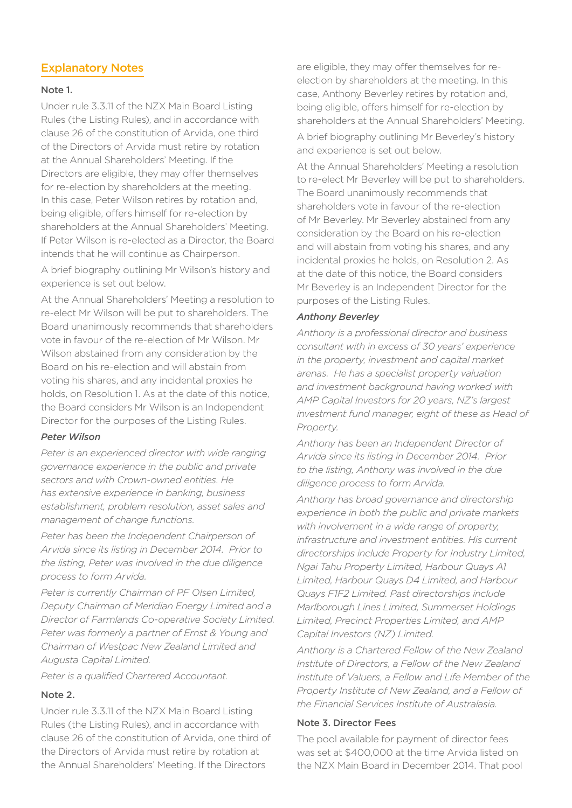# Explanatory Notes

### Note 1.

Under rule 3.3.11 of the NZX Main Board Listing Rules (the Listing Rules), and in accordance with clause 26 of the constitution of Arvida, one third of the Directors of Arvida must retire by rotation at the Annual Shareholders' Meeting. If the Directors are eligible, they may offer themselves for re-election by shareholders at the meeting. In this case, Peter Wilson retires by rotation and, being eligible, offers himself for re-election by shareholders at the Annual Shareholders' Meeting. If Peter Wilson is re-elected as a Director, the Board intends that he will continue as Chairperson.

A brief biography outlining Mr Wilson's history and experience is set out below.

At the Annual Shareholders' Meeting a resolution to re-elect Mr Wilson will be put to shareholders. The Board unanimously recommends that shareholders vote in favour of the re-election of Mr Wilson. Mr Wilson abstained from any consideration by the Board on his re-election and will abstain from voting his shares, and any incidental proxies he holds, on Resolution 1. As at the date of this notice, the Board considers Mr Wilson is an Independent Director for the purposes of the Listing Rules.

## *Peter Wilson*

*Peter is an experienced director with wide ranging governance experience in the public and private sectors and with Crown-owned entities. He has extensive experience in banking, business establishment, problem resolution, asset sales and management of change functions.*

*Peter has been the Independent Chairperson of Arvida since its listing in December 2014. Prior to the listing, Peter was involved in the due diligence process to form Arvida.*

*Peter is currently Chairman of PF Olsen Limited, Deputy Chairman of Meridian Energy Limited and a Director of Farmlands Co-operative Society Limited. Peter was formerly a partner of Ernst & Young and Chairman of Westpac New Zealand Limited and Augusta Capital Limited.*

*Peter is a qualified Chartered Accountant.*

## Note 2.

Under rule 3.3.11 of the NZX Main Board Listing Rules (the Listing Rules), and in accordance with clause 26 of the constitution of Arvida, one third of the Directors of Arvida must retire by rotation at the Annual Shareholders' Meeting. If the Directors

are eligible, they may offer themselves for reelection by shareholders at the meeting. In this case, Anthony Beverley retires by rotation and, being eligible, offers himself for re-election by shareholders at the Annual Shareholders' Meeting.

A brief biography outlining Mr Beverley's history and experience is set out below.

At the Annual Shareholders' Meeting a resolution to re-elect Mr Beverley will be put to shareholders. The Board unanimously recommends that shareholders vote in favour of the re-election of Mr Beverley. Mr Beverley abstained from any consideration by the Board on his re-election and will abstain from voting his shares, and any incidental proxies he holds, on Resolution 2. As at the date of this notice, the Board considers Mr Beverley is an Independent Director for the purposes of the Listing Rules.

#### *Anthony Beverley*

*Anthony is a professional director and business consultant with in excess of 30 years' experience in the property, investment and capital market arenas. He has a specialist property valuation and investment background having worked with AMP Capital Investors for 20 years, NZ's largest investment fund manager, eight of these as Head of Property.*

*Anthony has been an Independent Director of Arvida since its listing in December 2014. Prior to the listing, Anthony was involved in the due diligence process to form Arvida.*

*Anthony has broad governance and directorship experience in both the public and private markets with involvement in a wide range of property, infrastructure and investment entities. His current directorships include Property for Industry Limited, Ngai Tahu Property Limited, Harbour Quays A1 Limited, Harbour Quays D4 Limited, and Harbour Quays F1F2 Limited. Past directorships include Marlborough Lines Limited, Summerset Holdings Limited, Precinct Properties Limited, and AMP Capital Investors (NZ) Limited.*

*Anthony is a Chartered Fellow of the New Zealand Institute of Directors, a Fellow of the New Zealand Institute of Valuers, a Fellow and Life Member of the Property Institute of New Zealand, and a Fellow of the Financial Services Institute of Australasia.*

#### Note 3. Director Fees

The pool available for payment of director fees was set at \$400,000 at the time Arvida listed on the NZX Main Board in December 2014. That pool